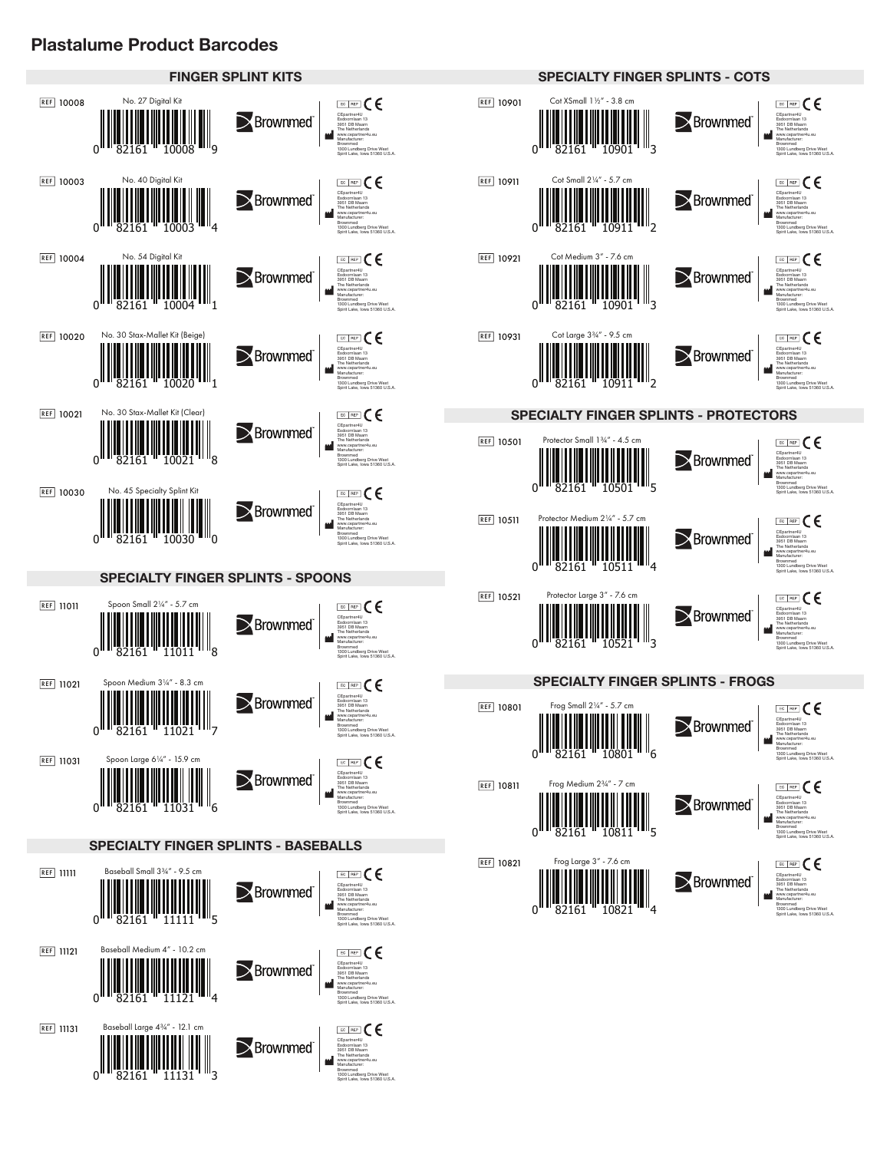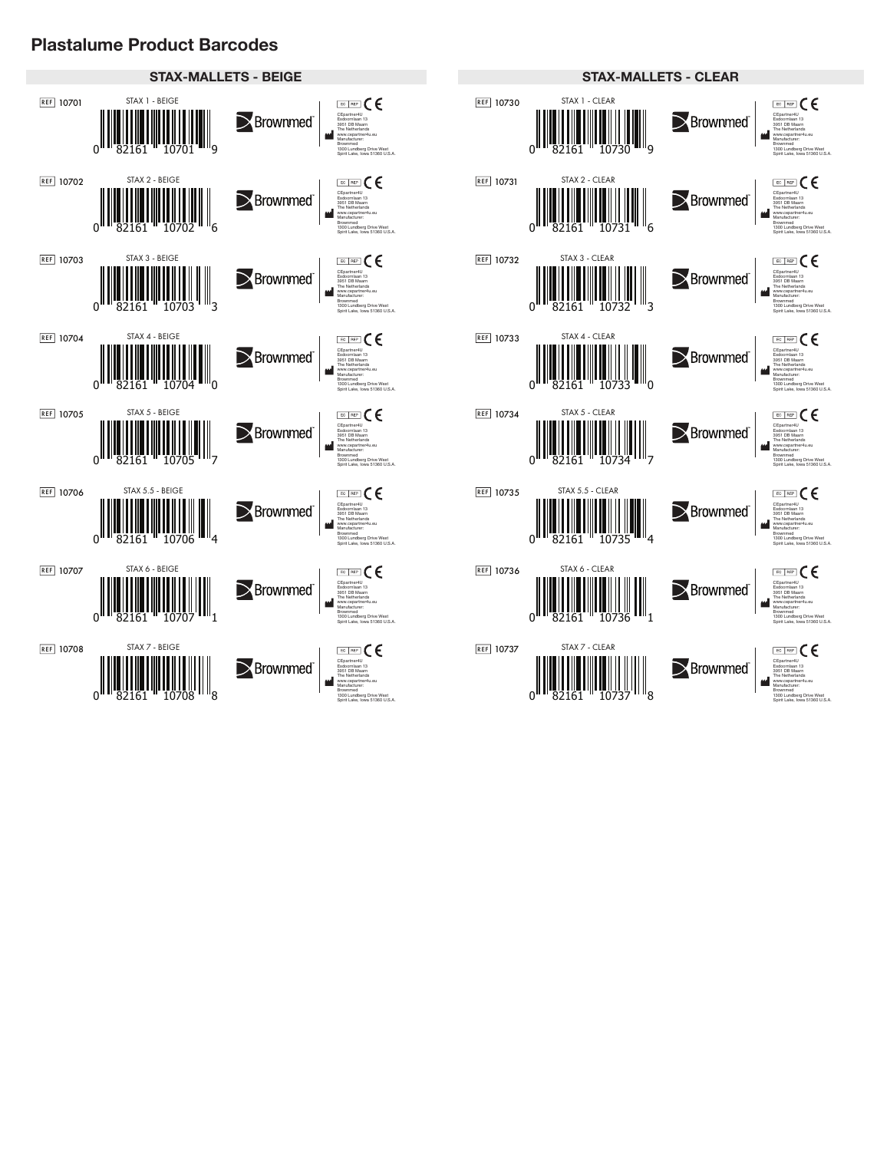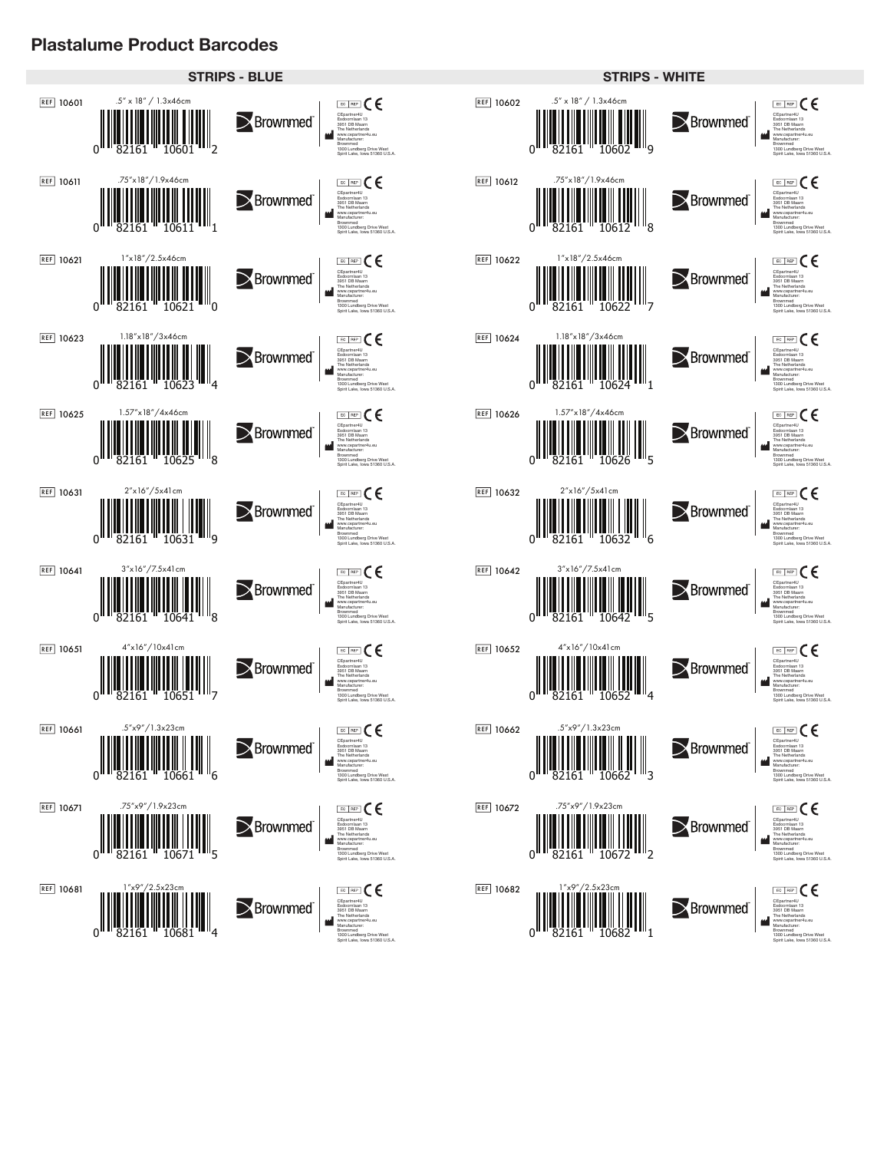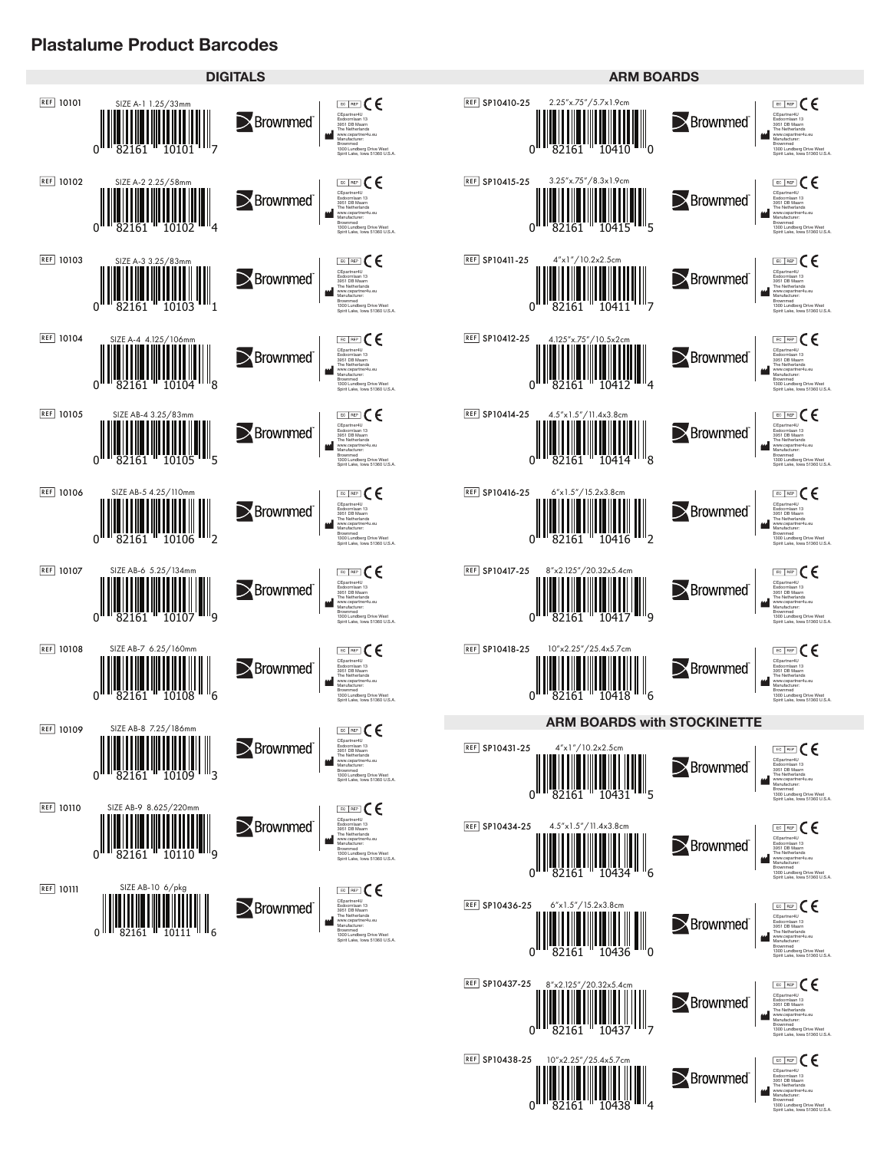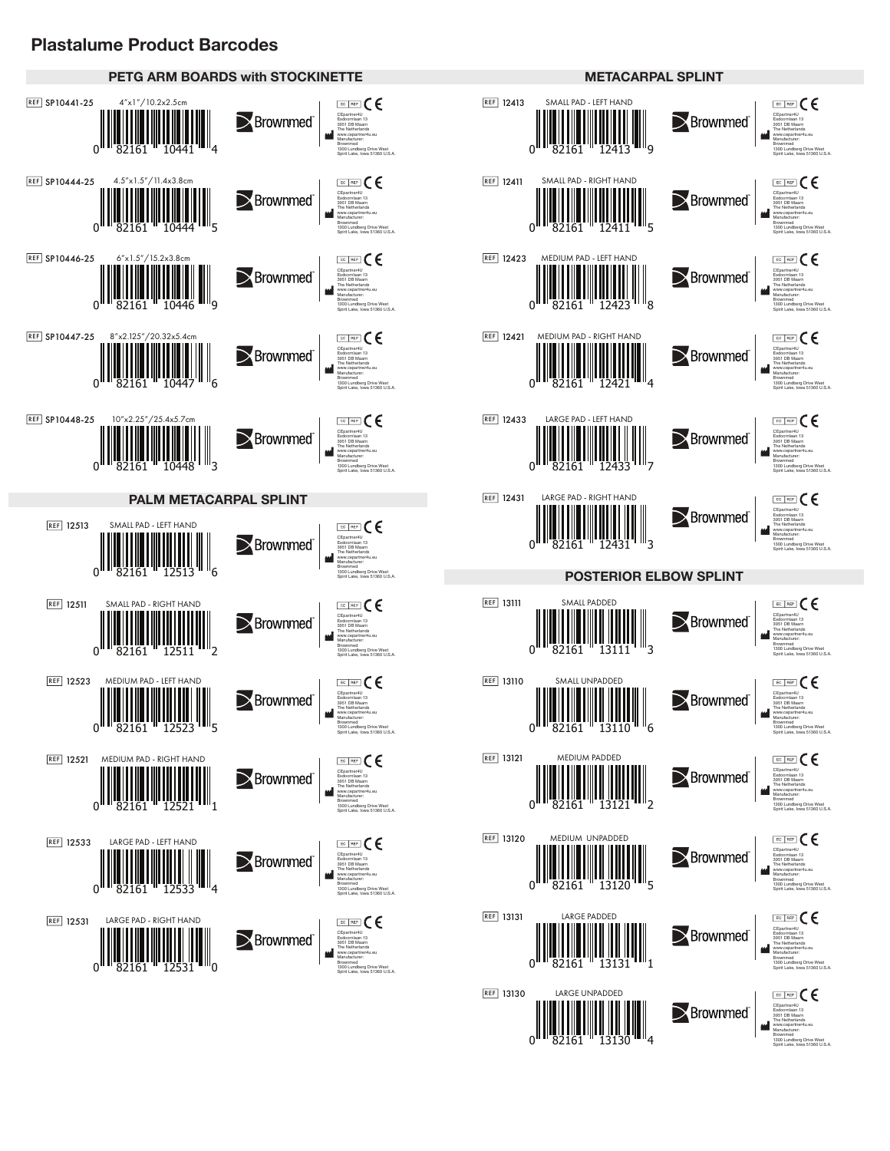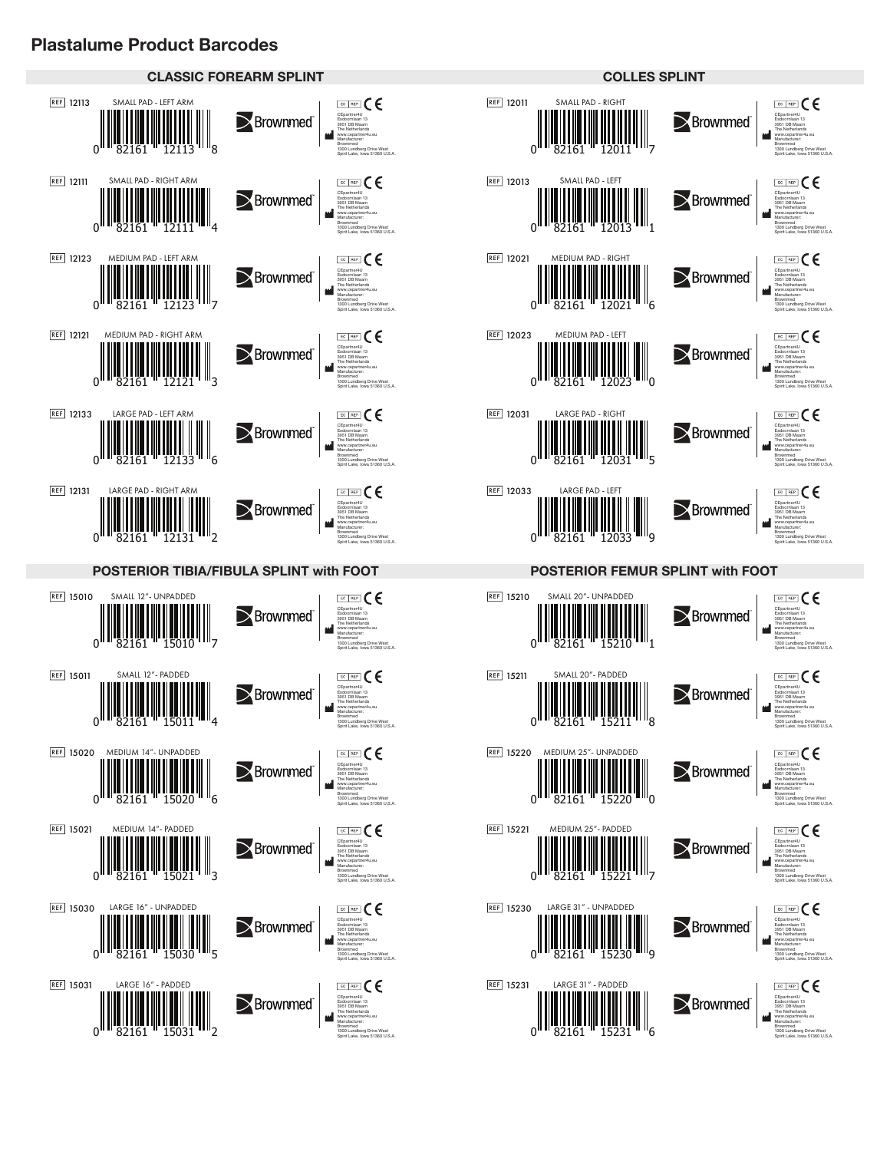